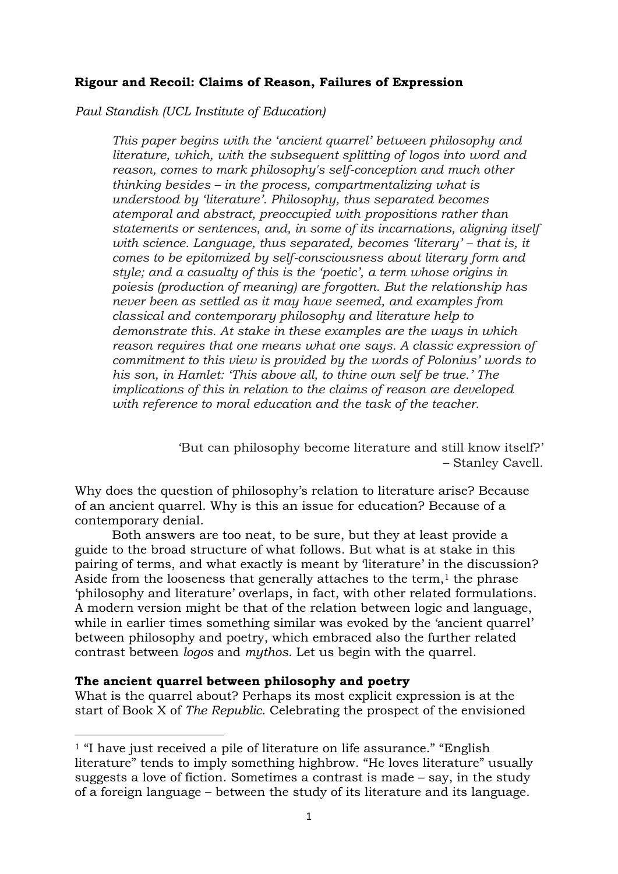# **Rigour and Recoil: Claims of Reason, Failures of Expression**

*Paul Standish (UCL Institute of Education)*

*This paper begins with the 'ancient quarrel' between philosophy and literature, which, with the subsequent splitting of logos into word and reason, comes to mark philosophy's self-conception and much other thinking besides – in the process, compartmentalizing what is understood by 'literature'. Philosophy, thus separated becomes atemporal and abstract, preoccupied with propositions rather than statements or sentences, and, in some of its incarnations, aligning itself with science. Language, thus separated, becomes 'literary' – that is, it comes to be epitomized by self-consciousness about literary form and style; and a casualty of this is the 'poetic', a term whose origins in poiesis (production of meaning) are forgotten. But the relationship has never been as settled as it may have seemed, and examples from classical and contemporary philosophy and literature help to demonstrate this. At stake in these examples are the ways in which reason requires that one means what one says. A classic expression of commitment to this view is provided by the words of Polonius' words to his son, in Hamlet: 'This above all, to thine own self be true.' The implications of this in relation to the claims of reason are developed with reference to moral education and the task of the teacher.*

> 'But can philosophy become literature and still know itself?' – Stanley Cavell*.*

Why does the question of philosophy's relation to literature arise? Because of an ancient quarrel. Why is this an issue for education? Because of a contemporary denial.

Both answers are too neat, to be sure, but they at least provide a guide to the broad structure of what follows. But what is at stake in this pairing of terms, and what exactly is meant by 'literature' in the discussion? Aside from the looseness that generally attaches to the term, $<sup>1</sup>$  the phrase</sup> 'philosophy and literature' overlaps, in fact, with other related formulations. A modern version might be that of the relation between logic and language, while in earlier times something similar was evoked by the 'ancient quarrel' between philosophy and poetry, which embraced also the further related contrast between *logos* and *mythos*. Let us begin with the quarrel.

## **The ancient quarrel between philosophy and poetry**

1

What is the quarrel about? Perhaps its most explicit expression is at the start of Book X of *The Republic*. Celebrating the prospect of the envisioned

<sup>&</sup>lt;sup>1</sup> "I have just received a pile of literature on life assurance." "English literature" tends to imply something highbrow. "He loves literature" usually suggests a love of fiction. Sometimes a contrast is made – say, in the study of a foreign language – between the study of its literature and its language.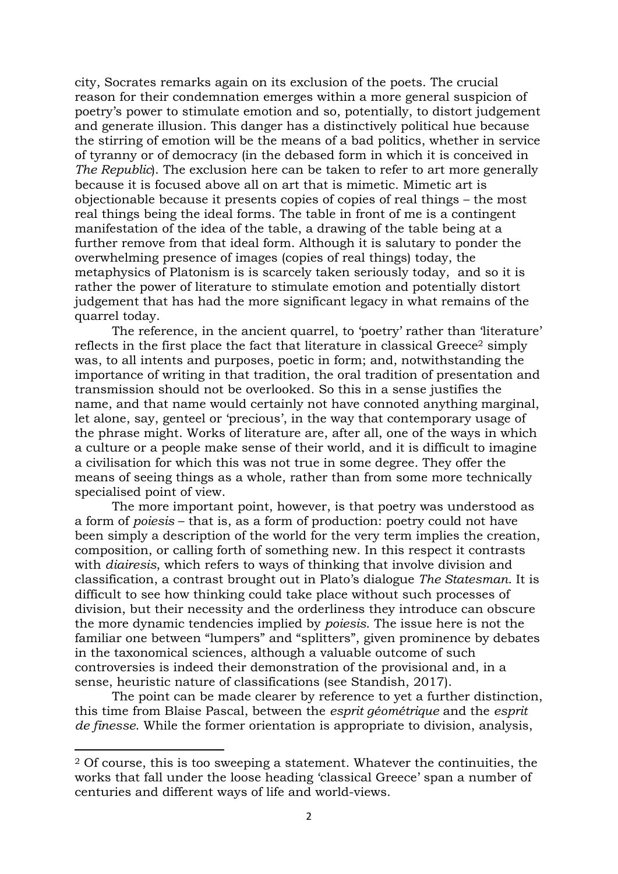city, Socrates remarks again on its exclusion of the poets. The crucial reason for their condemnation emerges within a more general suspicion of poetry's power to stimulate emotion and so, potentially, to distort judgement and generate illusion. This danger has a distinctively political hue because the stirring of emotion will be the means of a bad politics, whether in service of tyranny or of democracy (in the debased form in which it is conceived in *The Republic*). The exclusion here can be taken to refer to art more generally because it is focused above all on art that is mimetic. Mimetic art is objectionable because it presents copies of copies of real things – the most real things being the ideal forms. The table in front of me is a contingent manifestation of the idea of the table, a drawing of the table being at a further remove from that ideal form. Although it is salutary to ponder the overwhelming presence of images (copies of real things) today, the metaphysics of Platonism is is scarcely taken seriously today, and so it is rather the power of literature to stimulate emotion and potentially distort judgement that has had the more significant legacy in what remains of the quarrel today.

The reference, in the ancient quarrel, to 'poetry' rather than 'literature' reflects in the first place the fact that literature in classical Greece<sup>2</sup> simply was, to all intents and purposes, poetic in form; and, notwithstanding the importance of writing in that tradition, the oral tradition of presentation and transmission should not be overlooked. So this in a sense justifies the name, and that name would certainly not have connoted anything marginal, let alone, say, genteel or 'precious', in the way that contemporary usage of the phrase might. Works of literature are, after all, one of the ways in which a culture or a people make sense of their world, and it is difficult to imagine a civilisation for which this was not true in some degree. They offer the means of seeing things as a whole, rather than from some more technically specialised point of view.

The more important point, however, is that poetry was understood as a form of *poiesis* – that is, as a form of production: poetry could not have been simply a description of the world for the very term implies the creation, composition, or calling forth of something new. In this respect it contrasts with *diairesis*, which refers to ways of thinking that involve division and classification, a contrast brought out in Plato's dialogue *The Statesman*. It is difficult to see how thinking could take place without such processes of division, but their necessity and the orderliness they introduce can obscure the more dynamic tendencies implied by *poiesis*. The issue here is not the familiar one between "lumpers" and "splitters", given prominence by debates in the taxonomical sciences, although a valuable outcome of such controversies is indeed their demonstration of the provisional and, in a sense, heuristic nature of classifications (see Standish, 2017).

The point can be made clearer by reference to yet a further distinction, this time from Blaise Pascal, between the *esprit géométrique* and the *esprit de finesse*. While the former orientation is appropriate to division, analysis,

<sup>&</sup>lt;sup>2</sup> Of course, this is too sweeping a statement. Whatever the continuities, the works that fall under the loose heading 'classical Greece' span a number of centuries and different ways of life and world-views.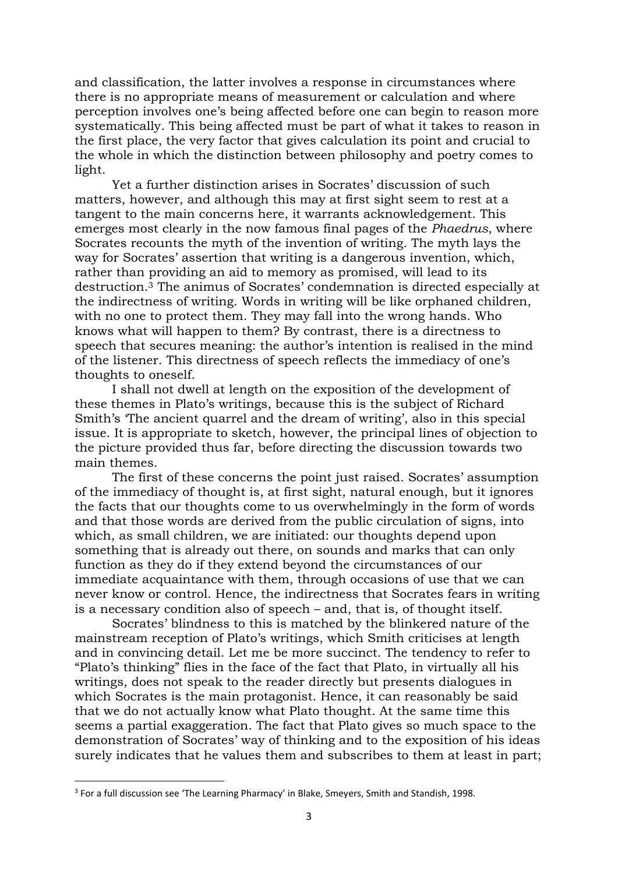and classification, the latter involves a response in circumstances where there is no appropriate means of measurement or calculation and where perception involves one's being affected before one can begin to reason more systematically. This being affected must be part of what it takes to reason in the first place, the very factor that gives calculation its point and crucial to the whole in which the distinction between philosophy and poetry comes to light.

Yet a further distinction arises in Socrates' discussion of such matters, however, and although this may at first sight seem to rest at a tangent to the main concerns here, it warrants acknowledgement. This emerges most clearly in the now famous final pages of the *Phaedrus*, where Socrates recounts the myth of the invention of writing. The myth lays the way for Socrates' assertion that writing is a dangerous invention, which, rather than providing an aid to memory as promised, will lead to its destruction.<sup>3</sup> The animus of Socrates' condemnation is directed especially at the indirectness of writing. Words in writing will be like orphaned children, with no one to protect them. They may fall into the wrong hands. Who knows what will happen to them? By contrast, there is a directness to speech that secures meaning: the author's intention is realised in the mind of the listener. This directness of speech reflects the immediacy of one's thoughts to oneself.

I shall not dwell at length on the exposition of the development of these themes in Plato's writings, because this is the subject of Richard Smith's 'The ancient quarrel and the dream of writing', also in this special issue. It is appropriate to sketch, however, the principal lines of objection to the picture provided thus far, before directing the discussion towards two main themes.

The first of these concerns the point just raised. Socrates' assumption of the immediacy of thought is, at first sight, natural enough, but it ignores the facts that our thoughts come to us overwhelmingly in the form of words and that those words are derived from the public circulation of signs, into which, as small children, we are initiated: our thoughts depend upon something that is already out there, on sounds and marks that can only function as they do if they extend beyond the circumstances of our immediate acquaintance with them, through occasions of use that we can never know or control. Hence, the indirectness that Socrates fears in writing is a necessary condition also of speech – and, that is, of thought itself.

Socrates' blindness to this is matched by the blinkered nature of the mainstream reception of Plato's writings, which Smith criticises at length and in convincing detail. Let me be more succinct. The tendency to refer to "Plato's thinking" flies in the face of the fact that Plato, in virtually all his writings, does not speak to the reader directly but presents dialogues in which Socrates is the main protagonist. Hence, it can reasonably be said that we do not actually know what Plato thought. At the same time this seems a partial exaggeration. The fact that Plato gives so much space to the demonstration of Socrates' way of thinking and to the exposition of his ideas surely indicates that he values them and subscribes to them at least in part;

<sup>&</sup>lt;sup>3</sup> For a full discussion see 'The Learning Pharmacy' in Blake, Smeyers, Smith and Standish, 1998.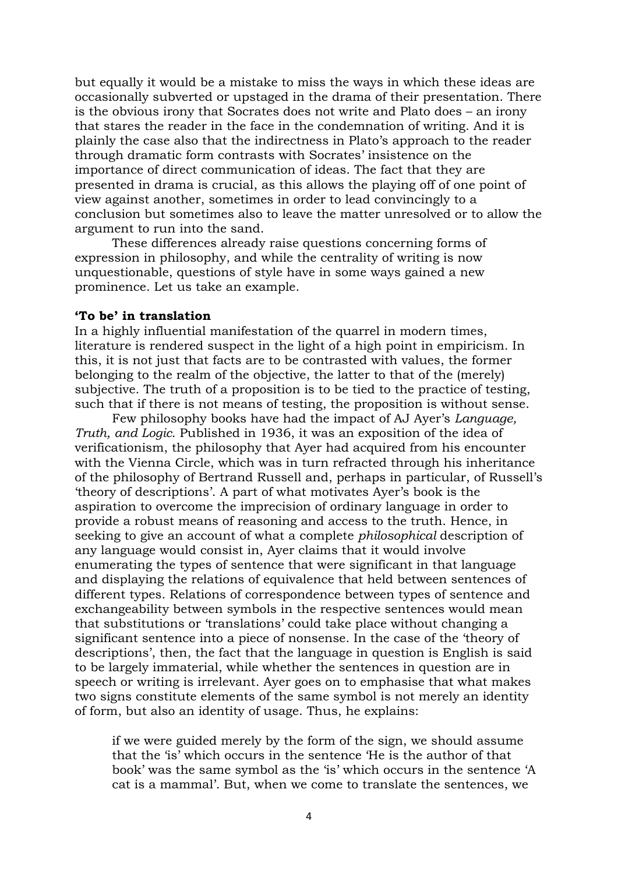but equally it would be a mistake to miss the ways in which these ideas are occasionally subverted or upstaged in the drama of their presentation. There is the obvious irony that Socrates does not write and Plato does – an irony that stares the reader in the face in the condemnation of writing. And it is plainly the case also that the indirectness in Plato's approach to the reader through dramatic form contrasts with Socrates' insistence on the importance of direct communication of ideas. The fact that they are presented in drama is crucial, as this allows the playing off of one point of view against another, sometimes in order to lead convincingly to a conclusion but sometimes also to leave the matter unresolved or to allow the argument to run into the sand.

These differences already raise questions concerning forms of expression in philosophy, and while the centrality of writing is now unquestionable, questions of style have in some ways gained a new prominence. Let us take an example.

### **'To be' in translation**

In a highly influential manifestation of the quarrel in modern times, literature is rendered suspect in the light of a high point in empiricism. In this, it is not just that facts are to be contrasted with values, the former belonging to the realm of the objective, the latter to that of the (merely) subjective. The truth of a proposition is to be tied to the practice of testing, such that if there is not means of testing, the proposition is without sense.

Few philosophy books have had the impact of AJ Ayer's *Language, Truth, and Logic*. Published in 1936, it was an exposition of the idea of verificationism, the philosophy that Ayer had acquired from his encounter with the Vienna Circle, which was in turn refracted through his inheritance of the philosophy of Bertrand Russell and, perhaps in particular, of Russell's 'theory of descriptions'. A part of what motivates Ayer's book is the aspiration to overcome the imprecision of ordinary language in order to provide a robust means of reasoning and access to the truth. Hence, in seeking to give an account of what a complete *philosophical* description of any language would consist in, Ayer claims that it would involve enumerating the types of sentence that were significant in that language and displaying the relations of equivalence that held between sentences of different types. Relations of correspondence between types of sentence and exchangeability between symbols in the respective sentences would mean that substitutions or 'translations' could take place without changing a significant sentence into a piece of nonsense. In the case of the 'theory of descriptions', then, the fact that the language in question is English is said to be largely immaterial, while whether the sentences in question are in speech or writing is irrelevant. Ayer goes on to emphasise that what makes two signs constitute elements of the same symbol is not merely an identity of form, but also an identity of usage. Thus, he explains:

if we were guided merely by the form of the sign, we should assume that the 'is' which occurs in the sentence 'He is the author of that book' was the same symbol as the 'is' which occurs in the sentence 'A cat is a mammal'. But, when we come to translate the sentences, we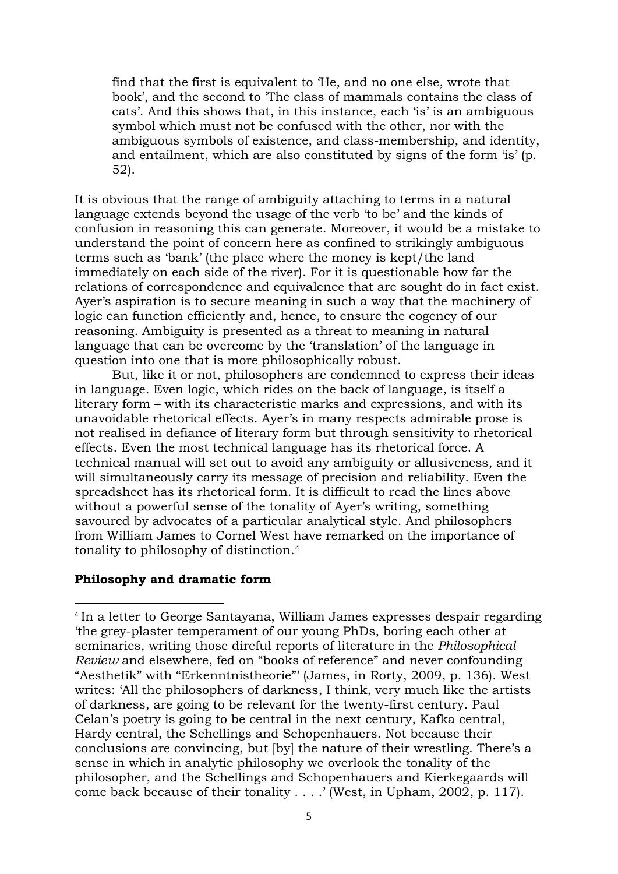find that the first is equivalent to 'He, and no one else, wrote that book', and the second to 'The class of mammals contains the class of cats'. And this shows that, in this instance, each 'is' is an ambiguous symbol which must not be confused with the other, nor with the ambiguous symbols of existence, and class-membership, and identity, and entailment, which are also constituted by signs of the form 'is' (p. 52).

It is obvious that the range of ambiguity attaching to terms in a natural language extends beyond the usage of the verb 'to be' and the kinds of confusion in reasoning this can generate. Moreover, it would be a mistake to understand the point of concern here as confined to strikingly ambiguous terms such as 'bank' (the place where the money is kept/the land immediately on each side of the river). For it is questionable how far the relations of correspondence and equivalence that are sought do in fact exist. Ayer's aspiration is to secure meaning in such a way that the machinery of logic can function efficiently and, hence, to ensure the cogency of our reasoning. Ambiguity is presented as a threat to meaning in natural language that can be overcome by the 'translation' of the language in question into one that is more philosophically robust.

But, like it or not, philosophers are condemned to express their ideas in language. Even logic, which rides on the back of language, is itself a literary form – with its characteristic marks and expressions, and with its unavoidable rhetorical effects. Ayer's in many respects admirable prose is not realised in defiance of literary form but through sensitivity to rhetorical effects. Even the most technical language has its rhetorical force. A technical manual will set out to avoid any ambiguity or allusiveness, and it will simultaneously carry its message of precision and reliability. Even the spreadsheet has its rhetorical form. It is difficult to read the lines above without a powerful sense of the tonality of Ayer's writing, something savoured by advocates of a particular analytical style. And philosophers from William James to Cornel West have remarked on the importance of tonality to philosophy of distinction.<sup>4</sup>

## **Philosophy and dramatic form**

<sup>4</sup> In a letter to George Santayana, William James expresses despair regarding 'the grey-plaster temperament of our young PhDs, boring each other at seminaries, writing those direful reports of literature in the *Philosophical Review* and elsewhere, fed on "books of reference" and never confounding "Aesthetik" with "Erkenntnistheorie"' (James, in Rorty, 2009, p. 136). West writes: 'All the philosophers of darkness, I think, very much like the artists of darkness, are going to be relevant for the twenty-first century. Paul Celan's poetry is going to be central in the next century, Kafka central, Hardy central, the Schellings and Schopenhauers. Not because their conclusions are convincing, but [by] the nature of their wrestling. There's a sense in which in analytic philosophy we overlook the tonality of the philosopher, and the Schellings and Schopenhauers and Kierkegaards will come back because of their tonality  $\dots$  (West, in Upham, 2002, p. 117).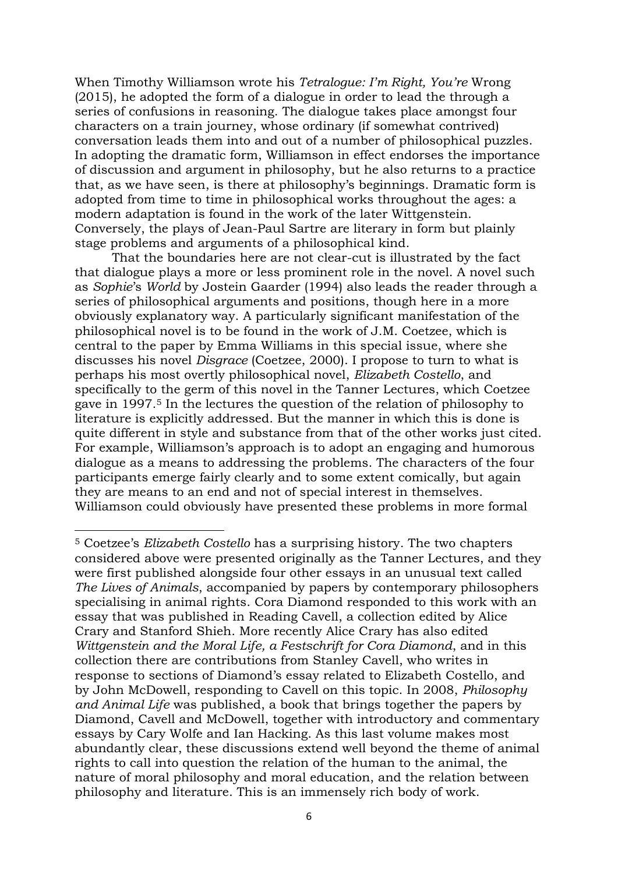When Timothy Williamson wrote his *Tetralogue: I'm Right, You're* Wrong (2015), he adopted the form of a dialogue in order to lead the through a series of confusions in reasoning. The dialogue takes place amongst four characters on a train journey, whose ordinary (if somewhat contrived) conversation leads them into and out of a number of philosophical puzzles. In adopting the dramatic form, Williamson in effect endorses the importance of discussion and argument in philosophy, but he also returns to a practice that, as we have seen, is there at philosophy's beginnings. Dramatic form is adopted from time to time in philosophical works throughout the ages: a modern adaptation is found in the work of the later Wittgenstein. Conversely, the plays of Jean-Paul Sartre are literary in form but plainly stage problems and arguments of a philosophical kind.

That the boundaries here are not clear-cut is illustrated by the fact that dialogue plays a more or less prominent role in the novel. A novel such as *Sophie*'s *World* by Jostein Gaarder (1994) also leads the reader through a series of philosophical arguments and positions, though here in a more obviously explanatory way. A particularly significant manifestation of the philosophical novel is to be found in the work of J.M. Coetzee, which is central to the paper by Emma Williams in this special issue, where she discusses his novel *Disgrace* (Coetzee, 2000). I propose to turn to what is perhaps his most overtly philosophical novel, *Elizabeth Costello*, and specifically to the germ of this novel in the Tanner Lectures, which Coetzee gave in 1997. <sup>5</sup> In the lectures the question of the relation of philosophy to literature is explicitly addressed. But the manner in which this is done is quite different in style and substance from that of the other works just cited. For example, Williamson's approach is to adopt an engaging and humorous dialogue as a means to addressing the problems. The characters of the four participants emerge fairly clearly and to some extent comically, but again they are means to an end and not of special interest in themselves. Williamson could obviously have presented these problems in more formal

<sup>5</sup> Coetzee's *Elizabeth Costello* has a surprising history. The two chapters considered above were presented originally as the Tanner Lectures, and they were first published alongside four other essays in an unusual text called *The Lives of Animals*, accompanied by papers by contemporary philosophers specialising in animal rights. Cora Diamond responded to this work with an essay that was published in Reading Cavell, a collection edited by Alice Crary and Stanford Shieh. More recently Alice Crary has also edited *Wittgenstein and the Moral Life, a Festschrift for Cora Diamond*, and in this collection there are contributions from Stanley Cavell, who writes in response to sections of Diamond's essay related to Elizabeth Costello, and by John McDowell, responding to Cavell on this topic. In 2008, *Philosophy and Animal Life* was published, a book that brings together the papers by Diamond, Cavell and McDowell, together with introductory and commentary essays by Cary Wolfe and Ian Hacking. As this last volume makes most abundantly clear, these discussions extend well beyond the theme of animal rights to call into question the relation of the human to the animal, the nature of moral philosophy and moral education, and the relation between philosophy and literature. This is an immensely rich body of work.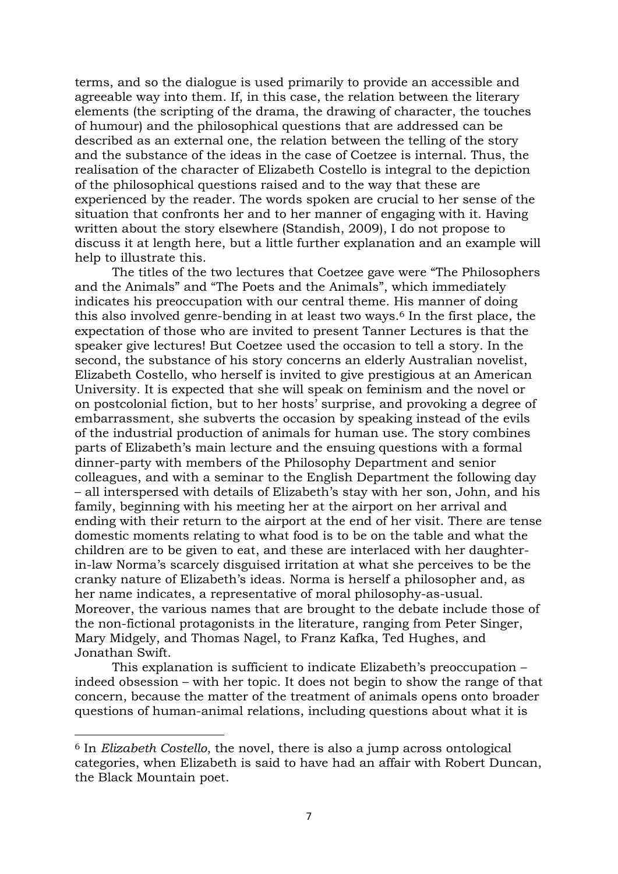terms, and so the dialogue is used primarily to provide an accessible and agreeable way into them. If, in this case, the relation between the literary elements (the scripting of the drama, the drawing of character, the touches of humour) and the philosophical questions that are addressed can be described as an external one, the relation between the telling of the story and the substance of the ideas in the case of Coetzee is internal. Thus, the realisation of the character of Elizabeth Costello is integral to the depiction of the philosophical questions raised and to the way that these are experienced by the reader. The words spoken are crucial to her sense of the situation that confronts her and to her manner of engaging with it. Having written about the story elsewhere (Standish, 2009), I do not propose to discuss it at length here, but a little further explanation and an example will help to illustrate this.

The titles of the two lectures that Coetzee gave were "The Philosophers and the Animals" and "The Poets and the Animals", which immediately indicates his preoccupation with our central theme. His manner of doing this also involved genre-bending in at least two ways.<sup>6</sup> In the first place, the expectation of those who are invited to present Tanner Lectures is that the speaker give lectures! But Coetzee used the occasion to tell a story. In the second, the substance of his story concerns an elderly Australian novelist, Elizabeth Costello, who herself is invited to give prestigious at an American University. It is expected that she will speak on feminism and the novel or on postcolonial fiction, but to her hosts' surprise, and provoking a degree of embarrassment, she subverts the occasion by speaking instead of the evils of the industrial production of animals for human use. The story combines parts of Elizabeth's main lecture and the ensuing questions with a formal dinner-party with members of the Philosophy Department and senior colleagues, and with a seminar to the English Department the following day – all interspersed with details of Elizabeth's stay with her son, John, and his family, beginning with his meeting her at the airport on her arrival and ending with their return to the airport at the end of her visit. There are tense domestic moments relating to what food is to be on the table and what the children are to be given to eat, and these are interlaced with her daughterin-law Norma's scarcely disguised irritation at what she perceives to be the cranky nature of Elizabeth's ideas. Norma is herself a philosopher and, as her name indicates, a representative of moral philosophy-as-usual. Moreover, the various names that are brought to the debate include those of the non-fictional protagonists in the literature, ranging from Peter Singer, Mary Midgely, and Thomas Nagel, to Franz Kafka, Ted Hughes, and Jonathan Swift.

This explanation is sufficient to indicate Elizabeth's preoccupation – indeed obsession – with her topic. It does not begin to show the range of that concern, because the matter of the treatment of animals opens onto broader questions of human-animal relations, including questions about what it is

1

<sup>6</sup> In *Elizabeth Costello*, the novel, there is also a jump across ontological categories, when Elizabeth is said to have had an affair with Robert Duncan, the Black Mountain poet.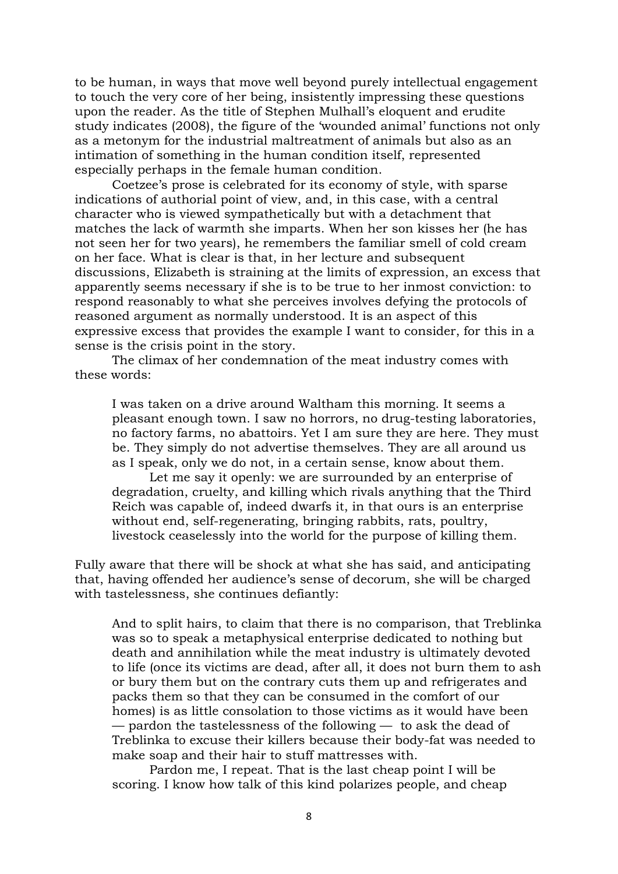to be human, in ways that move well beyond purely intellectual engagement to touch the very core of her being, insistently impressing these questions upon the reader. As the title of Stephen Mulhall's eloquent and erudite study indicates (2008), the figure of the 'wounded animal' functions not only as a metonym for the industrial maltreatment of animals but also as an intimation of something in the human condition itself, represented especially perhaps in the female human condition.

Coetzee's prose is celebrated for its economy of style, with sparse indications of authorial point of view, and, in this case, with a central character who is viewed sympathetically but with a detachment that matches the lack of warmth she imparts. When her son kisses her (he has not seen her for two years), he remembers the familiar smell of cold cream on her face. What is clear is that, in her lecture and subsequent discussions, Elizabeth is straining at the limits of expression, an excess that apparently seems necessary if she is to be true to her inmost conviction: to respond reasonably to what she perceives involves defying the protocols of reasoned argument as normally understood. It is an aspect of this expressive excess that provides the example I want to consider, for this in a sense is the crisis point in the story.

The climax of her condemnation of the meat industry comes with these words:

I was taken on a drive around Waltham this morning. It seems a pleasant enough town. I saw no horrors, no drug-testing laboratories, no factory farms, no abattoirs. Yet I am sure they are here. They must be. They simply do not advertise themselves. They are all around us as I speak, only we do not, in a certain sense, know about them.

Let me say it openly: we are surrounded by an enterprise of degradation, cruelty, and killing which rivals anything that the Third Reich was capable of, indeed dwarfs it, in that ours is an enterprise without end, self-regenerating, bringing rabbits, rats, poultry, livestock ceaselessly into the world for the purpose of killing them.

Fully aware that there will be shock at what she has said, and anticipating that, having offended her audience's sense of decorum, she will be charged with tastelessness, she continues defiantly:

And to split hairs, to claim that there is no comparison, that Treblinka was so to speak a metaphysical enterprise dedicated to nothing but death and annihilation while the meat industry is ultimately devoted to life (once its victims are dead, after all, it does not burn them to ash or bury them but on the contrary cuts them up and refrigerates and packs them so that they can be consumed in the comfort of our homes) is as little consolation to those victims as it would have been — pardon the tastelessness of the following — to ask the dead of Treblinka to excuse their killers because their body-fat was needed to make soap and their hair to stuff mattresses with.

Pardon me, I repeat. That is the last cheap point I will be scoring. I know how talk of this kind polarizes people, and cheap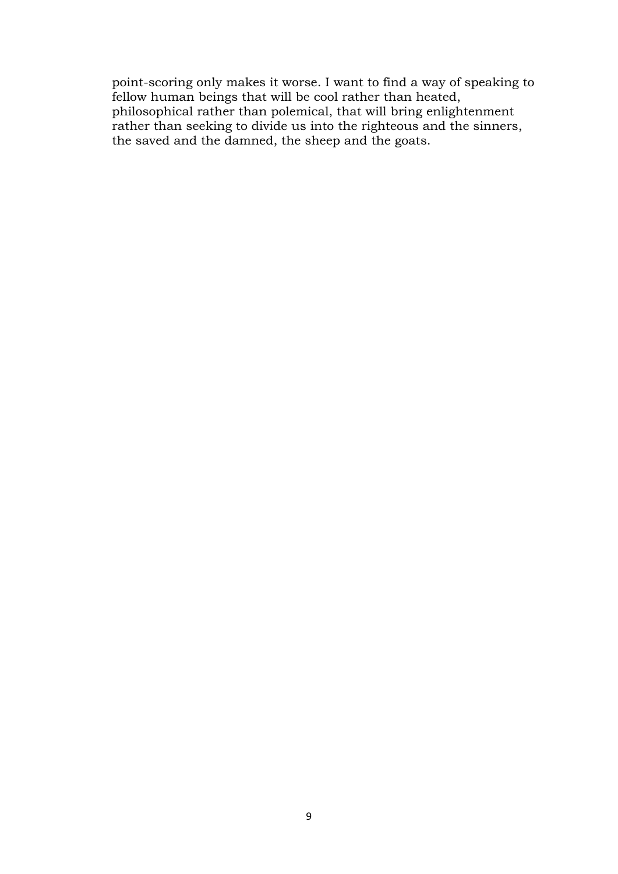point-scoring only makes it worse. I want to find a way of speaking to fellow human beings that will be cool rather than heated, philosophical rather than polemical, that will bring enlightenment rather than seeking to divide us into the righteous and the sinners, the saved and the damned, the sheep and the goats.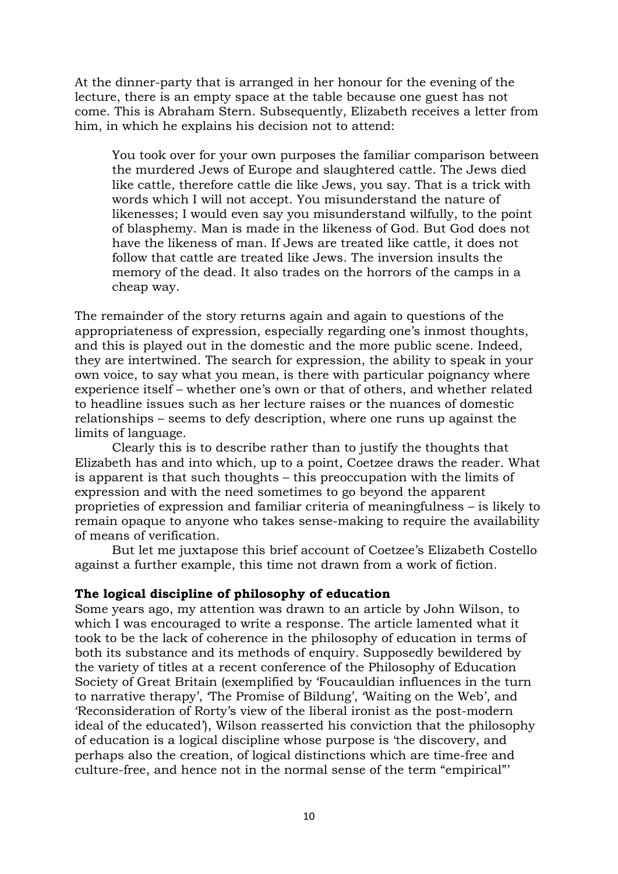At the dinner-party that is arranged in her honour for the evening of the lecture, there is an empty space at the table because one guest has not come. This is Abraham Stern. Subsequently, Elizabeth receives a letter from him, in which he explains his decision not to attend:

You took over for your own purposes the familiar comparison between the murdered Jews of Europe and slaughtered cattle. The Jews died like cattle, therefore cattle die like Jews, you say. That is a trick with words which I will not accept. You misunderstand the nature of likenesses; I would even say you misunderstand wilfully, to the point of blasphemy. Man is made in the likeness of God. But God does not have the likeness of man. If Jews are treated like cattle, it does not follow that cattle are treated like Jews. The inversion insults the memory of the dead. It also trades on the horrors of the camps in a cheap way.

The remainder of the story returns again and again to questions of the appropriateness of expression, especially regarding one's inmost thoughts, and this is played out in the domestic and the more public scene. Indeed, they are intertwined. The search for expression, the ability to speak in your own voice, to say what you mean, is there with particular poignancy where experience itself – whether one's own or that of others, and whether related to headline issues such as her lecture raises or the nuances of domestic relationships – seems to defy description, where one runs up against the limits of language.

Clearly this is to describe rather than to justify the thoughts that Elizabeth has and into which, up to a point, Coetzee draws the reader. What is apparent is that such thoughts – this preoccupation with the limits of expression and with the need sometimes to go beyond the apparent proprieties of expression and familiar criteria of meaningfulness – is likely to remain opaque to anyone who takes sense-making to require the availability of means of verification.

But let me juxtapose this brief account of Coetzee's Elizabeth Costello against a further example, this time not drawn from a work of fiction.

## **The logical discipline of philosophy of education**

Some years ago, my attention was drawn to an article by John Wilson, to which I was encouraged to write a response. The article lamented what it took to be the lack of coherence in the philosophy of education in terms of both its substance and its methods of enquiry. Supposedly bewildered by the variety of titles at a recent conference of the Philosophy of Education Society of Great Britain (exemplified by 'Foucauldian influences in the turn to narrative therapy', 'The Promise of Bildung', 'Waiting on the Web', and 'Reconsideration of Rorty's view of the liberal ironist as the post-modern ideal of the educated'), Wilson reasserted his conviction that the philosophy of education is a logical discipline whose purpose is 'the discovery, and perhaps also the creation, of logical distinctions which are time-free and culture-free, and hence not in the normal sense of the term "empirical"'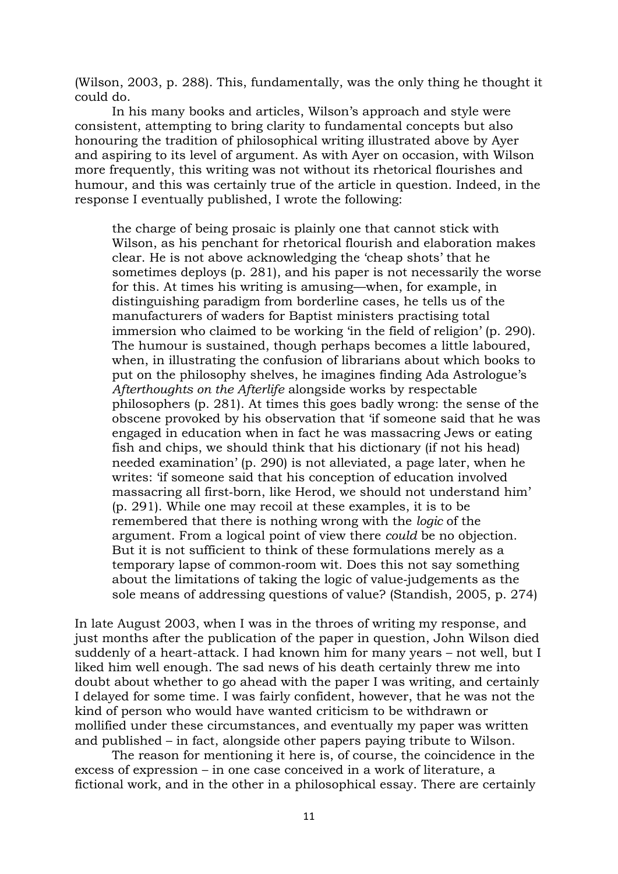(Wilson, 2003, p. 288). This, fundamentally, was the only thing he thought it could do.

In his many books and articles, Wilson's approach and style were consistent, attempting to bring clarity to fundamental concepts but also honouring the tradition of philosophical writing illustrated above by Ayer and aspiring to its level of argument. As with Ayer on occasion, with Wilson more frequently, this writing was not without its rhetorical flourishes and humour, and this was certainly true of the article in question. Indeed, in the response I eventually published, I wrote the following:

the charge of being prosaic is plainly one that cannot stick with Wilson, as his penchant for rhetorical flourish and elaboration makes clear. He is not above acknowledging the 'cheap shots' that he sometimes deploys (p. 281), and his paper is not necessarily the worse for this. At times his writing is amusing—when, for example, in distinguishing paradigm from borderline cases, he tells us of the manufacturers of waders for Baptist ministers practising total immersion who claimed to be working 'in the field of religion' (p. 290). The humour is sustained, though perhaps becomes a little laboured, when, in illustrating the confusion of librarians about which books to put on the philosophy shelves, he imagines finding Ada Astrologue's *Afterthoughts on the Afterlife* alongside works by respectable philosophers (p. 281). At times this goes badly wrong: the sense of the obscene provoked by his observation that 'if someone said that he was engaged in education when in fact he was massacring Jews or eating fish and chips, we should think that his dictionary (if not his head) needed examination' (p. 290) is not alleviated, a page later, when he writes: 'if someone said that his conception of education involved massacring all first‐born, like Herod, we should not understand him' (p. 291). While one may recoil at these examples, it is to be remembered that there is nothing wrong with the *logic* of the argument. From a logical point of view there *could* be no objection. But it is not sufficient to think of these formulations merely as a temporary lapse of common‐room wit. Does this not say something about the limitations of taking the logic of value‐judgements as the sole means of addressing questions of value? (Standish, 2005, p. 274)

In late August 2003, when I was in the throes of writing my response, and just months after the publication of the paper in question, John Wilson died suddenly of a heart-attack. I had known him for many years – not well, but I liked him well enough. The sad news of his death certainly threw me into doubt about whether to go ahead with the paper I was writing, and certainly I delayed for some time. I was fairly confident, however, that he was not the kind of person who would have wanted criticism to be withdrawn or mollified under these circumstances, and eventually my paper was written and published – in fact, alongside other papers paying tribute to Wilson.

The reason for mentioning it here is, of course, the coincidence in the excess of expression – in one case conceived in a work of literature, a fictional work, and in the other in a philosophical essay. There are certainly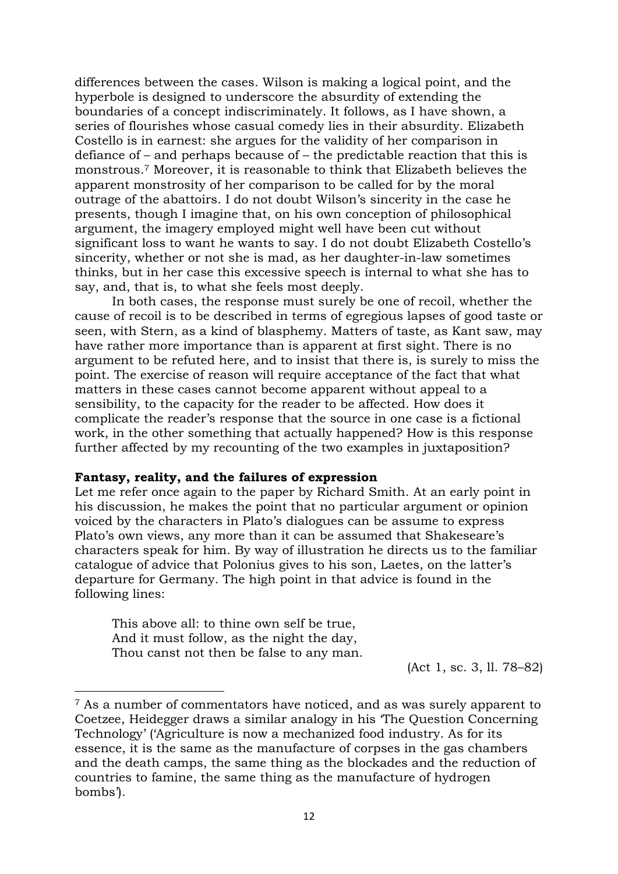differences between the cases. Wilson is making a logical point, and the hyperbole is designed to underscore the absurdity of extending the boundaries of a concept indiscriminately. It follows, as I have shown, a series of flourishes whose casual comedy lies in their absurdity. Elizabeth Costello is in earnest: she argues for the validity of her comparison in defiance of – and perhaps because of – the predictable reaction that this is monstrous.<sup>7</sup> Moreover, it is reasonable to think that Elizabeth believes the apparent monstrosity of her comparison to be called for by the moral outrage of the abattoirs. I do not doubt Wilson's sincerity in the case he presents, though I imagine that, on his own conception of philosophical argument, the imagery employed might well have been cut without significant loss to want he wants to say. I do not doubt Elizabeth Costello's sincerity, whether or not she is mad, as her daughter-in-law sometimes thinks, but in her case this excessive speech is internal to what she has to say, and, that is, to what she feels most deeply.

In both cases, the response must surely be one of recoil, whether the cause of recoil is to be described in terms of egregious lapses of good taste or seen, with Stern, as a kind of blasphemy. Matters of taste, as Kant saw, may have rather more importance than is apparent at first sight. There is no argument to be refuted here, and to insist that there is, is surely to miss the point. The exercise of reason will require acceptance of the fact that what matters in these cases cannot become apparent without appeal to a sensibility, to the capacity for the reader to be affected. How does it complicate the reader's response that the source in one case is a fictional work, in the other something that actually happened? How is this response further affected by my recounting of the two examples in juxtaposition?

## **Fantasy, reality, and the failures of expression**

Let me refer once again to the paper by Richard Smith. At an early point in his discussion, he makes the point that no particular argument or opinion voiced by the characters in Plato's dialogues can be assume to express Plato's own views, any more than it can be assumed that Shakeseare's characters speak for him. By way of illustration he directs us to the familiar catalogue of advice that Polonius gives to his son, Laetes, on the latter's departure for Germany. The high point in that advice is found in the following lines:

This above all: to thine own self be true, And it must follow, as the night the day, Thou canst not then be false to any man.

**.** 

(Act 1, sc. 3, ll. 78–82)

<sup>7</sup> As a number of commentators have noticed, and as was surely apparent to Coetzee, Heidegger draws a similar analogy in his 'The Question Concerning Technology' ('Agriculture is now a mechanized food industry. As for its essence, it is the same as the manufacture of corpses in the gas chambers and the death camps, the same thing as the blockades and the reduction of countries to famine, the same thing as the manufacture of hydrogen bombs').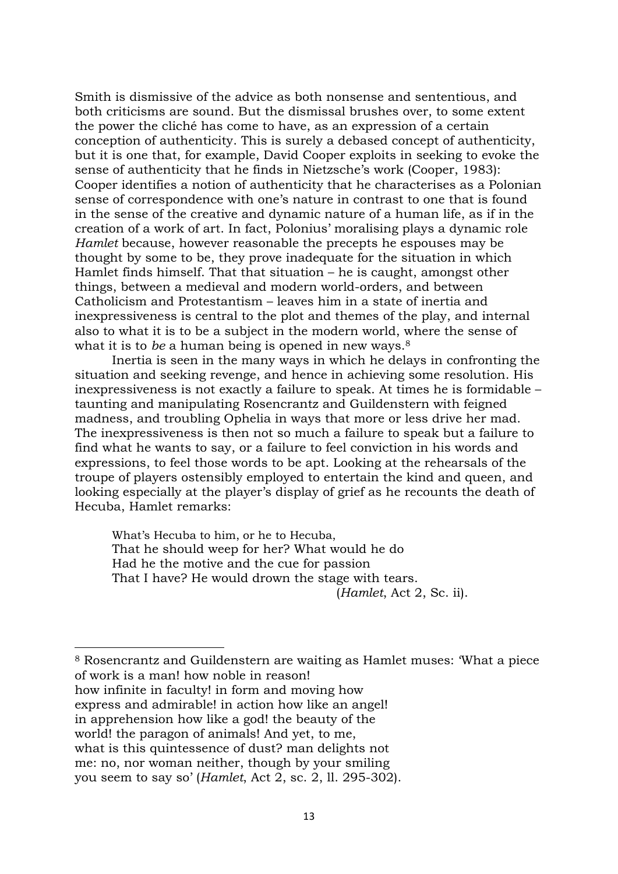Smith is dismissive of the advice as both nonsense and sententious, and both criticisms are sound. But the dismissal brushes over, to some extent the power the cliché has come to have, as an expression of a certain conception of authenticity. This is surely a debased concept of authenticity, but it is one that, for example, David Cooper exploits in seeking to evoke the sense of authenticity that he finds in Nietzsche's work (Cooper, 1983): Cooper identifies a notion of authenticity that he characterises as a Polonian sense of correspondence with one's nature in contrast to one that is found in the sense of the creative and dynamic nature of a human life, as if in the creation of a work of art. In fact, Polonius' moralising plays a dynamic role *Hamlet* because, however reasonable the precepts he espouses may be thought by some to be, they prove inadequate for the situation in which Hamlet finds himself. That that situation – he is caught, amongst other things, between a medieval and modern world-orders, and between Catholicism and Protestantism – leaves him in a state of inertia and inexpressiveness is central to the plot and themes of the play, and internal also to what it is to be a subject in the modern world, where the sense of what it is to *be* a human being is opened in new ways. 8

Inertia is seen in the many ways in which he delays in confronting the situation and seeking revenge, and hence in achieving some resolution. His inexpressiveness is not exactly a failure to speak. At times he is formidable – taunting and manipulating Rosencrantz and Guildenstern with feigned madness, and troubling Ophelia in ways that more or less drive her mad. The inexpressiveness is then not so much a failure to speak but a failure to find what he wants to say, or a failure to feel conviction in his words and expressions, to feel those words to be apt. Looking at the rehearsals of the troupe of players ostensibly employed to entertain the kind and queen, and looking especially at the player's display of grief as he recounts the death of Hecuba, Hamlet remarks:

What's Hecuba to him, or he to Hecuba, That he should weep for her? What would he do Had he the motive and the cue for passion That I have? He would drown the stage with tears.

(*Hamlet*, Act 2, Sc. ii).

<sup>8</sup> Rosencrantz and Guildenstern are waiting as Hamlet muses: 'What a piece of work is a man! how noble in reason!

how infinite in faculty! in form and moving how

**.** 

- express and admirable! in action how like an angel!
- in apprehension how like a god! the beauty of the
- world! the paragon of animals! And yet, to me,

what is this quintessence of dust? man delights not

me: no, nor woman neither, though by your smiling

you seem to say so' (*Hamlet*, Act 2, sc. 2, ll. 295-302).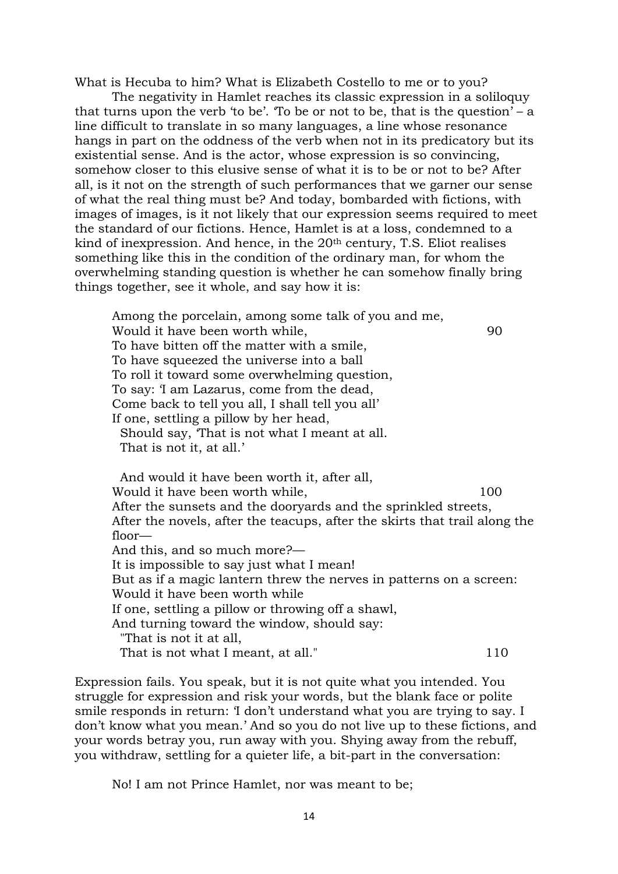What is Hecuba to him? What is Elizabeth Costello to me or to you?

The negativity in Hamlet reaches its classic expression in a soliloquy that turns upon the verb 'to be'. To be or not to be, that is the question'  $-$  a line difficult to translate in so many languages, a line whose resonance hangs in part on the oddness of the verb when not in its predicatory but its existential sense. And is the actor, whose expression is so convincing, somehow closer to this elusive sense of what it is to be or not to be? After all, is it not on the strength of such performances that we garner our sense of what the real thing must be? And today, bombarded with fictions, with images of images, is it not likely that our expression seems required to meet the standard of our fictions. Hence, Hamlet is at a loss, condemned to a kind of inexpression. And hence, in the 20<sup>th</sup> century, T.S. Eliot realises something like this in the condition of the ordinary man, for whom the overwhelming standing question is whether he can somehow finally bring things together, see it whole, and say how it is:

Among the porcelain, among some talk of you and me, Would it have been worth while, 90 To have bitten off the matter with a smile, To have squeezed the universe into a ball To roll it toward some overwhelming question, To say: 'I am Lazarus, come from the dead, Come back to tell you all, I shall tell you all' If one, settling a pillow by her head, Should say, 'That is not what I meant at all. That is not it, at all.' And would it have been worth it, after all, Would it have been worth while,  $100$ After the sunsets and the dooryards and the sprinkled streets, After the novels, after the teacups, after the skirts that trail along the floor— And this, and so much more?— It is impossible to say just what I mean! But as if a magic lantern threw the nerves in patterns on a screen: Would it have been worth while If one, settling a pillow or throwing off a shawl, And turning toward the window, should say: "That is not it at all, That is not what I meant, at all." 110

Expression fails. You speak, but it is not quite what you intended. You struggle for expression and risk your words, but the blank face or polite smile responds in return: 'I don't understand what you are trying to say. I don't know what you mean.' And so you do not live up to these fictions, and your words betray you, run away with you. Shying away from the rebuff, you withdraw, settling for a quieter life, a bit-part in the conversation:

No! I am not Prince Hamlet, nor was meant to be;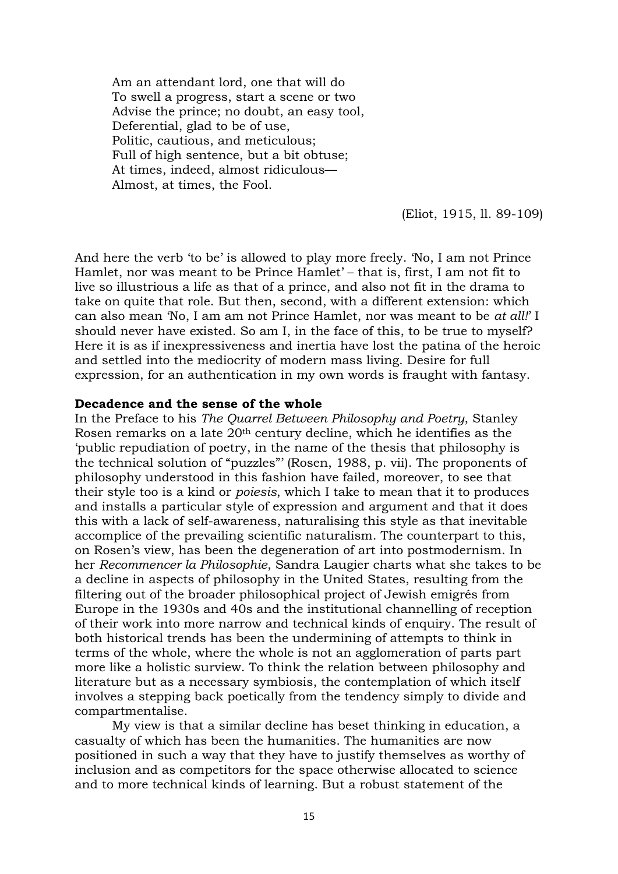Am an attendant lord, one that will do To swell a progress, start a scene or two Advise the prince; no doubt, an easy tool, Deferential, glad to be of use, Politic, cautious, and meticulous; Full of high sentence, but a bit obtuse; At times, indeed, almost ridiculous— Almost, at times, the Fool.

(Eliot, 1915, ll. 89-109)

And here the verb 'to be' is allowed to play more freely. 'No, I am not Prince Hamlet, nor was meant to be Prince Hamlet' – that is, first, I am not fit to live so illustrious a life as that of a prince, and also not fit in the drama to take on quite that role. But then, second, with a different extension: which can also mean 'No, I am am not Prince Hamlet, nor was meant to be *at all!*' I should never have existed. So am I, in the face of this, to be true to myself? Here it is as if inexpressiveness and inertia have lost the patina of the heroic and settled into the mediocrity of modern mass living. Desire for full expression, for an authentication in my own words is fraught with fantasy.

### **Decadence and the sense of the whole**

In the Preface to his *The Quarrel Between Philosophy and Poetry*, Stanley Rosen remarks on a late 20<sup>th</sup> century decline, which he identifies as the 'public repudiation of poetry, in the name of the thesis that philosophy is the technical solution of "puzzles"' (Rosen, 1988, p. vii). The proponents of philosophy understood in this fashion have failed, moreover, to see that their style too is a kind or *poiesis*, which I take to mean that it to produces and installs a particular style of expression and argument and that it does this with a lack of self-awareness, naturalising this style as that inevitable accomplice of the prevailing scientific naturalism. The counterpart to this, on Rosen's view, has been the degeneration of art into postmodernism. In her *Recommencer la Philosophie*, Sandra Laugier charts what she takes to be a decline in aspects of philosophy in the United States, resulting from the filtering out of the broader philosophical project of Jewish emigrés from Europe in the 1930s and 40s and the institutional channelling of reception of their work into more narrow and technical kinds of enquiry. The result of both historical trends has been the undermining of attempts to think in terms of the whole, where the whole is not an agglomeration of parts part more like a holistic surview. To think the relation between philosophy and literature but as a necessary symbiosis, the contemplation of which itself involves a stepping back poetically from the tendency simply to divide and compartmentalise.

My view is that a similar decline has beset thinking in education, a casualty of which has been the humanities. The humanities are now positioned in such a way that they have to justify themselves as worthy of inclusion and as competitors for the space otherwise allocated to science and to more technical kinds of learning. But a robust statement of the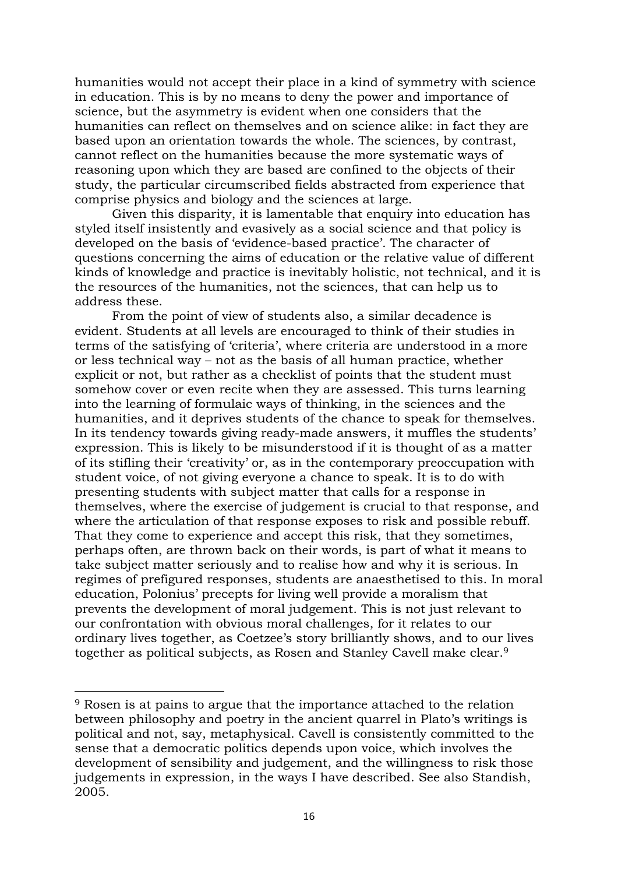humanities would not accept their place in a kind of symmetry with science in education. This is by no means to deny the power and importance of science, but the asymmetry is evident when one considers that the humanities can reflect on themselves and on science alike: in fact they are based upon an orientation towards the whole. The sciences, by contrast, cannot reflect on the humanities because the more systematic ways of reasoning upon which they are based are confined to the objects of their study, the particular circumscribed fields abstracted from experience that comprise physics and biology and the sciences at large.

Given this disparity, it is lamentable that enquiry into education has styled itself insistently and evasively as a social science and that policy is developed on the basis of 'evidence-based practice'. The character of questions concerning the aims of education or the relative value of different kinds of knowledge and practice is inevitably holistic, not technical, and it is the resources of the humanities, not the sciences, that can help us to address these.

From the point of view of students also, a similar decadence is evident. Students at all levels are encouraged to think of their studies in terms of the satisfying of 'criteria', where criteria are understood in a more or less technical way – not as the basis of all human practice, whether explicit or not, but rather as a checklist of points that the student must somehow cover or even recite when they are assessed. This turns learning into the learning of formulaic ways of thinking, in the sciences and the humanities, and it deprives students of the chance to speak for themselves. In its tendency towards giving ready-made answers, it muffles the students' expression. This is likely to be misunderstood if it is thought of as a matter of its stifling their 'creativity' or, as in the contemporary preoccupation with student voice, of not giving everyone a chance to speak. It is to do with presenting students with subject matter that calls for a response in themselves, where the exercise of judgement is crucial to that response, and where the articulation of that response exposes to risk and possible rebuff. That they come to experience and accept this risk, that they sometimes, perhaps often, are thrown back on their words, is part of what it means to take subject matter seriously and to realise how and why it is serious. In regimes of prefigured responses, students are anaesthetised to this. In moral education, Polonius' precepts for living well provide a moralism that prevents the development of moral judgement. This is not just relevant to our confrontation with obvious moral challenges, for it relates to our ordinary lives together, as Coetzee's story brilliantly shows, and to our lives together as political subjects, as Rosen and Stanley Cavell make clear.<sup>9</sup>

<sup>9</sup> Rosen is at pains to argue that the importance attached to the relation between philosophy and poetry in the ancient quarrel in Plato's writings is political and not, say, metaphysical. Cavell is consistently committed to the sense that a democratic politics depends upon voice, which involves the development of sensibility and judgement, and the willingness to risk those judgements in expression, in the ways I have described. See also Standish, 2005.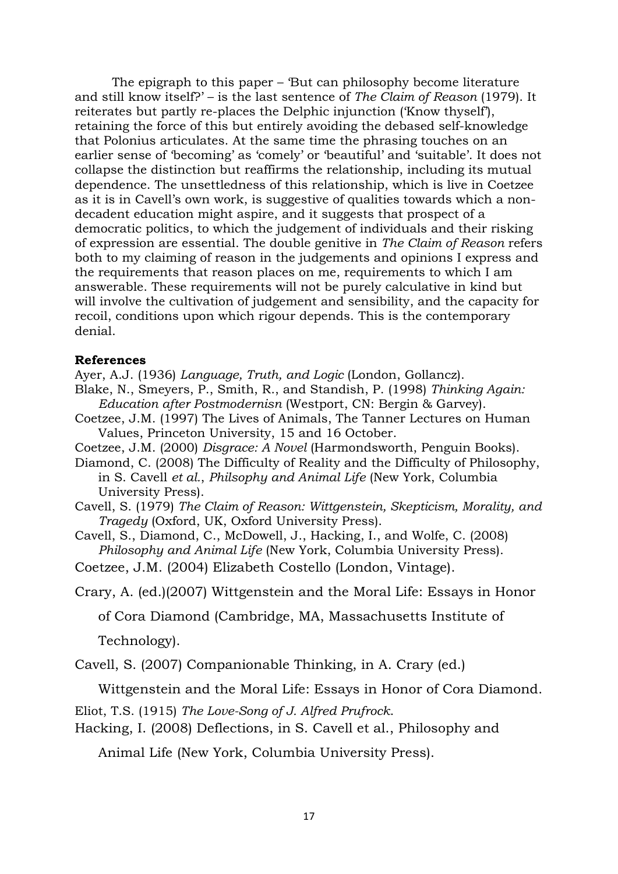The epigraph to this paper – 'But can philosophy become literature and still know itself?' – is the last sentence of *The Claim of Reason* (1979). It reiterates but partly re-places the Delphic injunction ('Know thyself'), retaining the force of this but entirely avoiding the debased self-knowledge that Polonius articulates. At the same time the phrasing touches on an earlier sense of 'becoming' as 'comely' or 'beautiful' and 'suitable'. It does not collapse the distinction but reaffirms the relationship, including its mutual dependence. The unsettledness of this relationship, which is live in Coetzee as it is in Cavell's own work, is suggestive of qualities towards which a nondecadent education might aspire, and it suggests that prospect of a democratic politics, to which the judgement of individuals and their risking of expression are essential. The double genitive in *The Claim of Reason* refers both to my claiming of reason in the judgements and opinions I express and the requirements that reason places on me, requirements to which I am answerable. These requirements will not be purely calculative in kind but will involve the cultivation of judgement and sensibility, and the capacity for recoil, conditions upon which rigour depends. This is the contemporary denial.

### **References**

Ayer, A.J. (1936) *Language, Truth, and Logic* (London, Gollancz).

Blake, N., Smeyers, P., Smith, R., and Standish, P. (1998) *Thinking Again: Education after Postmodernisn* (Westport, CN: Bergin & Garvey).

- Coetzee, J.M. (1997) The Lives of Animals, The Tanner Lectures on Human Values, Princeton University, 15 and 16 October.
- Coetzee, J.M. (2000) *Disgrace: A Novel* (Harmondsworth, Penguin Books).
- Diamond, C. (2008) The Difficulty of Reality and the Difficulty of Philosophy, in S. Cavell *et al.*, *Philsophy and Animal Life* (New York, Columbia University Press).

Cavell, S. (1979) *The Claim of Reason: Wittgenstein, Skepticism, Morality, and Tragedy* (Oxford, UK, Oxford University Press).

Cavell, S., Diamond, C., McDowell, J., Hacking, I., and Wolfe, C. (2008) *Philosophy and Animal Life* (New York, Columbia University Press).

Coetzee, J.M. (2004) Elizabeth Costello (London, Vintage).

Crary, A. (ed.)(2007) Wittgenstein and the Moral Life: Essays in Honor

of Cora Diamond (Cambridge, MA, Massachusetts Institute of

Technology).

Cavell, S. (2007) Companionable Thinking, in A. Crary (ed.)

Wittgenstein and the Moral Life: Essays in Honor of Cora Diamond.

Eliot, T.S. (1915) *The Love-Song of J. Alfred Prufrock*.

Hacking, I. (2008) Deflections, in S. Cavell et al., Philosophy and

Animal Life (New York, Columbia University Press).